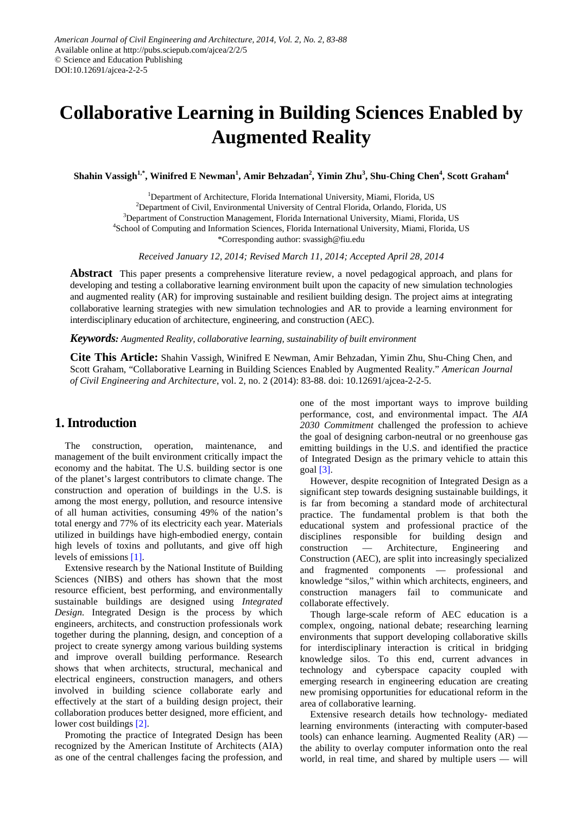# **Collaborative Learning in Building Sciences Enabled by Augmented Reality**

 $\boldsymbol{\delta}$ Shahin Vassigh $^{1,*}$ , Winifred E Newman $^{1}$ , Amir Behzadan $^{2}$ , Yimin Zhu $^{3}$ , Shu-Ching Chen $^{4}$ , Scott Graham $^{4}$ 

<sup>1</sup>Department of Architecture, Florida International University, Miami, Florida, US <sup>2</sup>Department of Civil, Environmental University of Central Florida, Orlando, Florida, US <sup>3</sup>Department of Construction Management, Florida International University, Miami, Florida, US 4 School of Computing and Information Sciences, Florida International University, Miami, Florida, US

\*Corresponding author: svassigh@fiu.edu

*Received January 12, 2014; Revised March 11, 2014; Accepted April 28, 2014*

**Abstract** This paper presents a comprehensive literature review, a novel pedagogical approach, and plans for developing and testing a collaborative learning environment built upon the capacity of new simulation technologies and augmented reality (AR) for improving sustainable and resilient building design. The project aims at integrating collaborative learning strategies with new simulation technologies and AR to provide a learning environment for interdisciplinary education of architecture, engineering, and construction (AEC).

#### *Keywords: Augmented Reality, collaborative learning, sustainability of built environment*

**Cite This Article:** Shahin Vassigh, Winifred E Newman, Amir Behzadan, Yimin Zhu, Shu-Ching Chen, and Scott Graham, "Collaborative Learning in Building Sciences Enabled by Augmented Reality." *American Journal of Civil Engineering and Architecture*, vol. 2, no. 2 (2014): 83-88. doi: 10.12691/ajcea-2-2-5.

## **1. Introduction**

The construction, operation, maintenance, and management of the built environment critically impact the economy and the habitat. The U.S. building sector is one of the planet's largest contributors to climate change. The construction and operation of buildings in the U.S. is among the most energy, pollution, and resource intensive of all human activities, consuming 49% of the nation's total energy and 77% of its electricity each year. Materials utilized in buildings have high-embodied energy, contain high levels of toxins and pollutants, and give off high levels of emissions [\[1\].](#page-4-0)

Extensive research by the National Institute of Building Sciences (NIBS) and others has shown that the most resource efficient, best performing, and environmentally sustainable buildings are designed using *Integrated Design.* Integrated Design is the process by which engineers, architects, and construction professionals work together during the planning, design, and conception of a project to create synergy among various building systems and improve overall building performance. Research shows that when architects, structural, mechanical and electrical engineers, construction managers, and others involved in building science collaborate early and effectively at the start of a building design project, their collaboration produces better designed, more efficient, and lower cost buildings [\[2\].](#page-4-1)

Promoting the practice of Integrated Design has been recognized by the American Institute of Architects (AIA) as one of the central challenges facing the profession, and one of the most important ways to improve building performance, cost, and environmental impact. The *AIA 2030 Commitment* challenged the profession to achieve the goal of designing carbon-neutral or no greenhouse gas emitting buildings in the U.S. and identified the practice of Integrated Design as the primary vehicle to attain this goal [\[3\].](#page-4-2)

However, despite recognition of Integrated Design as a significant step towards designing sustainable buildings, it is far from becoming a standard mode of architectural practice. The fundamental problem is that both the educational system and professional practice of the disciplines responsible for building design and construction — Architecture, Engineering and Construction (AEC), are split into increasingly specialized and fragmented components — professional and knowledge "silos," within which architects, engineers, and construction managers fail to communicate and collaborate effectively.

Though large-scale reform of AEC education is a complex, ongoing, national debate; researching learning environments that support developing collaborative skills for interdisciplinary interaction is critical in bridging knowledge silos. To this end, current advances in technology and cyberspace capacity coupled with emerging research in engineering education are creating new promising opportunities for educational reform in the area of collaborative learning.

Extensive research details how technology- mediated learning environments (interacting with computer-based tools) can enhance learning. Augmented Reality (AR) the ability to overlay computer information onto the real world, in real time, and shared by multiple users — will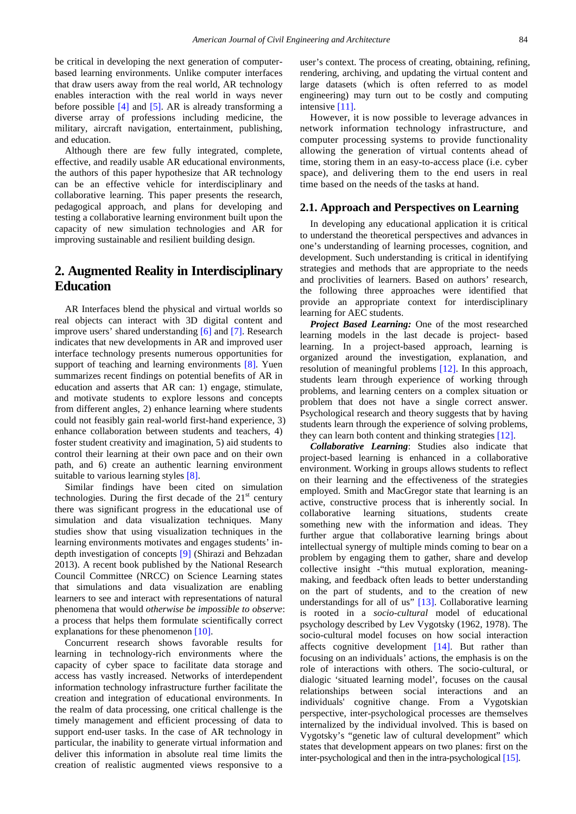be critical in developing the next generation of computerbased learning environments. Unlike computer interfaces that draw users away from the real world, AR technology enables interaction with the real world in ways never before possible  $[4]$  and  $[5]$ . AR is already transforming a diverse array of professions including medicine, the military, aircraft navigation, entertainment, publishing, and education.

Although there are few fully integrated, complete, effective, and readily usable AR educational environments, the authors of this paper hypothesize that AR technology can be an effective vehicle for interdisciplinary and collaborative learning. This paper presents the research, pedagogical approach, and plans for developing and testing a collaborative learning environment built upon the capacity of new simulation technologies and AR for improving sustainable and resilient building design.

# **2. Augmented Reality in Interdisciplinary Education**

AR Interfaces blend the physical and virtual worlds so real objects can interact with 3D digital content and improve users' shared understanding [\[6\]](#page-4-5) and [\[7\].](#page-5-0) Research indicates that new developments in AR and improved user interface technology presents numerous opportunities for support of teaching and learning environments [\[8\].](#page-5-1) Yuen summarizes recent findings on potential benefits of AR in education and asserts that AR can: 1) engage, stimulate, and motivate students to explore lessons and concepts from different angles, 2) enhance learning where students could not feasibly gain real-world first-hand experience, 3) enhance collaboration between students and teachers, 4) foster student creativity and imagination, 5) aid students to control their learning at their own pace and on their own path, and 6) create an authentic learning environment suitable to various learning styles [\[8\].](#page-5-1)

Similar findings have been cited on simulation technologies. During the first decade of the  $21<sup>st</sup>$  century there was significant progress in the educational use of simulation and data visualization techniques. Many studies show that using visualization techniques in the learning environments motivates and engages students' indepth investigation of concepts [\[9\]](#page-5-2) (Shirazi and Behzadan 2013). A recent book published by the National Research Council Committee (NRCC) on Science Learning states that simulations and data visualization are enabling learners to see and interact with representations of natural phenomena that would *otherwise be impossible to observe*: a process that helps them formulate scientifically correct explanations for these phenomenon [\[10\].](#page-5-3)

Concurrent research shows favorable results for learning in technology-rich environments where the capacity of cyber space to facilitate data storage and access has vastly increased. Networks of interdependent information technology infrastructure further facilitate the creation and integration of educational environments. In the realm of data processing, one critical challenge is the timely management and efficient processing of data to support end-user tasks. In the case of AR technology in particular, the inability to generate virtual information and deliver this information in absolute real time limits the creation of realistic augmented views responsive to a

user's context. The process of creating, obtaining, refining, rendering, archiving, and updating the virtual content and large datasets (which is often referred to as model engineering) may turn out to be costly and computing intensive [\[11\].](#page-5-4)

However, it is now possible to leverage advances in network information technology infrastructure, and computer processing systems to provide functionality allowing the generation of virtual contents ahead of time, storing them in an easy-to-access place (i.e. cyber space), and delivering them to the end users in real time based on the needs of the tasks at hand.

#### **2.1. Approach and Perspectives on Learning**

In developing any educational application it is critical to understand the theoretical perspectives and advances in one's understanding of learning processes, cognition, and development. Such understanding is critical in identifying strategies and methods that are appropriate to the needs and proclivities of learners. Based on authors' research, the following three approaches were identified that provide an appropriate context for interdisciplinary learning for AEC students.

*Project Based Learning:* One of the most researched learning models in the last decade is project- based learning. In a project-based approach, learning is organized around the investigation, explanation, and resolution of meaningful problems [\[12\].](#page-5-5) In this approach, students learn through experience of working through problems, and learning centers on a complex situation or problem that does not have a single correct answer. Psychological research and theory suggests that by having students learn through the experience of solving problems, they can learn both content and thinking strategies [\[12\].](#page-5-5)

*Collaborative Learning*: Studies also indicate that project-based learning is enhanced in a collaborative environment. Working in groups allows students to reflect on their learning and the effectiveness of the strategies employed. Smith and MacGregor state that learning is an active, constructive process that is inherently social. In collaborative learning situations, students create something new with the information and ideas. They further argue that collaborative learning brings about intellectual synergy of multiple minds coming to bear on a problem by engaging them to gather, share and develop collective insight -"this mutual exploration, meaningmaking, and feedback often leads to better understanding on the part of students, and to the creation of new understandings for all of us" [\[13\].](#page-5-6) Collaborative learning is rooted in a *socio-cultural* model of educational psychology described by Lev Vygotsky (1962, 1978). The socio-cultural model focuses on how social interaction affects cognitive development [\[14\].](#page-5-7) But rather than focusing on an individuals' actions, the emphasis is on the role of interactions with others. The socio-cultural, or dialogic 'situated learning model', focuses on the causal relationships between social interactions and an individuals' cognitive change. From a Vygotskian perspective, inter-psychological processes are themselves internalized by the individual involved. This is based on Vygotsky's "genetic law of cultural development" which states that development appears on two planes: first on the inter-psychological and then in the intra-psychological [\[15\].](#page-5-8)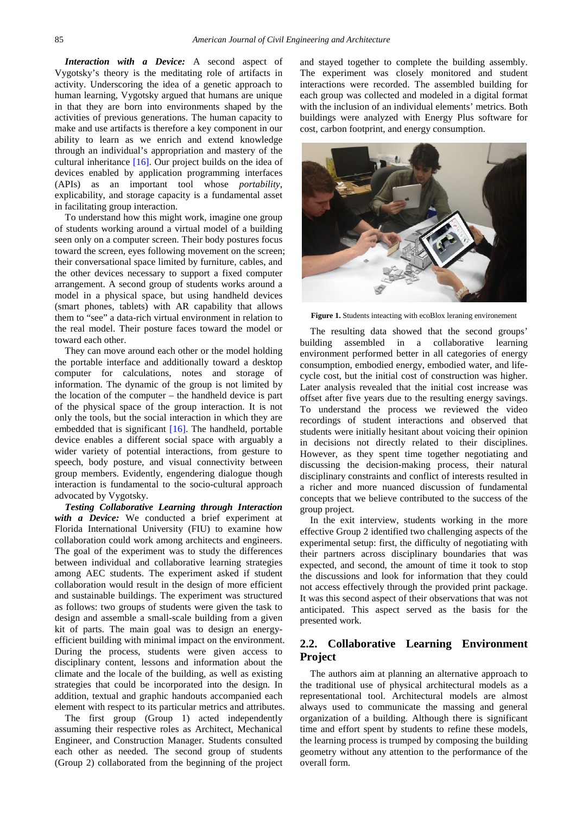*Interaction with a Device:* A second aspect of Vygotsky's theory is the meditating role of artifacts in activity. Underscoring the idea of a genetic approach to human learning, Vygotsky argued that humans are unique in that they are born into environments shaped by the activities of previous generations. The human capacity to make and use artifacts is therefore a key component in our ability to learn as we enrich and extend knowledge through an individual's appropriation and mastery of the cultural inheritance [\[16\].](#page-5-9) Our project builds on the idea of devices enabled by application programming interfaces (APIs) as an important tool whose *portability*, explicability, and storage capacity is a fundamental asset in facilitating group interaction.

To understand how this might work, imagine one group of students working around a virtual model of a building seen only on a computer screen. Their body postures focus toward the screen, eyes following movement on the screen; their conversational space limited by furniture, cables, and the other devices necessary to support a fixed computer arrangement. A second group of students works around a model in a physical space, but using handheld devices (smart phones, tablets) with AR capability that allows them to "see" a data-rich virtual environment in relation to the real model. Their posture faces toward the model or toward each other.

They can move around each other or the model holding the portable interface and additionally toward a desktop computer for calculations, notes and storage of information. The dynamic of the group is not limited by the location of the computer – the handheld device is part of the physical space of the group interaction. It is not only the tools, but the social interaction in which they are embedded that is significant [\[16\].](#page-5-9) The handheld, portable device enables a different social space with arguably a wider variety of potential interactions, from gesture to speech, body posture, and visual connectivity between group members. Evidently, engendering dialogue though interaction is fundamental to the socio-cultural approach advocated by Vygotsky.

*Testing Collaborative Learning through Interaction with a Device:* We conducted a brief experiment at Florida International University (FIU) to examine how collaboration could work among architects and engineers. The goal of the experiment was to study the differences between individual and collaborative learning strategies among AEC students. The experiment asked if student collaboration would result in the design of more efficient and sustainable buildings. The experiment was structured as follows: two groups of students were given the task to design and assemble a small-scale building from a given kit of parts. The main goal was to design an energyefficient building with minimal impact on the environment. During the process, students were given access to disciplinary content, lessons and information about the climate and the locale of the building, as well as existing strategies that could be incorporated into the design. In addition, textual and graphic handouts accompanied each element with respect to its particular metrics and attributes.

The first group (Group 1) acted independently assuming their respective roles as Architect, Mechanical Engineer, and Construction Manager. Students consulted each other as needed. The second group of students (Group 2) collaborated from the beginning of the project and stayed together to complete the building assembly. The experiment was closely monitored and student interactions were recorded. The assembled building for each group was collected and modeled in a digital format with the inclusion of an individual elements' metrics. Both buildings were analyzed with Energy Plus software for cost, carbon footprint, and energy consumption.



**Figure 1.** Students inteacting with ecoBlox leraning environement

The resulting data showed that the second groups' building assembled in a collaborative learning environment performed better in all categories of energy consumption, embodied energy, embodied water, and lifecycle cost, but the initial cost of construction was higher. Later analysis revealed that the initial cost increase was offset after five years due to the resulting energy savings. To understand the process we reviewed the video recordings of student interactions and observed that students were initially hesitant about voicing their opinion in decisions not directly related to their disciplines. However, as they spent time together negotiating and discussing the decision-making process, their natural disciplinary constraints and conflict of interests resulted in a richer and more nuanced discussion of fundamental concepts that we believe contributed to the success of the group project.

In the exit interview, students working in the more effective Group 2 identified two challenging aspects of the experimental setup: first, the difficulty of negotiating with their partners across disciplinary boundaries that was expected, and second, the amount of time it took to stop the discussions and look for information that they could not access effectively through the provided print package. It was this second aspect of their observations that was not anticipated. This aspect served as the basis for the presented work.

### **2.2. Collaborative Learning Environment Project**

The authors aim at planning an alternative approach to the traditional use of physical architectural models as a representational tool. Architectural models are almost always used to communicate the massing and general organization of a building. Although there is significant time and effort spent by students to refine these models, the learning process is trumped by composing the building geometry without any attention to the performance of the overall form.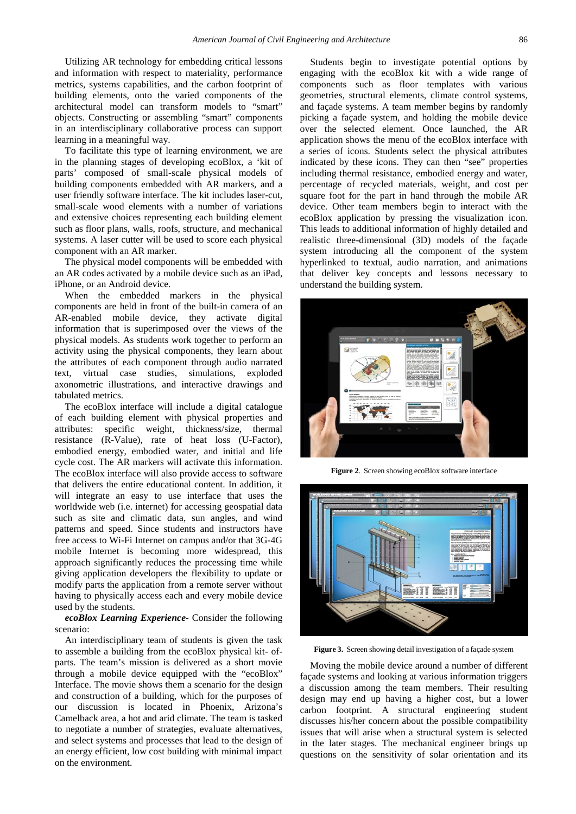Utilizing AR technology for embedding critical lessons and information with respect to materiality, performance metrics, systems capabilities, and the carbon footprint of building elements, onto the varied components of the architectural model can transform models to "smart" objects. Constructing or assembling "smart" components in an interdisciplinary collaborative process can support learning in a meaningful way.

To facilitate this type of learning environment, we are in the planning stages of developing ecoBlox, a 'kit of parts' composed of small-scale physical models of building components embedded with AR markers, and a user friendly software interface. The kit includes laser-cut, small-scale wood elements with a number of variations and extensive choices representing each building element such as floor plans, walls, roofs, structure, and mechanical systems. A laser cutter will be used to score each physical component with an AR marker.

The physical model components will be embedded with an AR codes activated by a mobile device such as an iPad, iPhone, or an Android device.

When the embedded markers in the physical components are held in front of the built-in camera of an AR-enabled mobile device, they activate digital information that is superimposed over the views of the physical models. As students work together to perform an activity using the physical components, they learn about the attributes of each component through audio narrated text, virtual case studies, simulations, exploded axonometric illustrations, and interactive drawings and tabulated metrics.

The ecoBlox interface will include a digital catalogue of each building element with physical properties and attributes: specific weight, thickness/size, thermal resistance (R-Value), rate of heat loss (U-Factor), embodied energy, embodied water, and initial and life cycle cost. The AR markers will activate this information. The ecoBlox interface will also provide access to software that delivers the entire educational content. In addition, it will integrate an easy to use interface that uses the worldwide web (i.e. internet) for accessing geospatial data such as site and climatic data, sun angles, and wind patterns and speed. Since students and instructors have free access to Wi-Fi Internet on campus and/or that 3G-4G mobile Internet is becoming more widespread, this approach significantly reduces the processing time while giving application developers the flexibility to update or modify parts the application from a remote server without having to physically access each and every mobile device used by the students.

#### *ecoBlox Learning Experience-* Consider the following scenario:

An interdisciplinary team of students is given the task to assemble a building from the ecoBlox physical kit- ofparts. The team's mission is delivered as a short movie through a mobile device equipped with the "ecoBlox" Interface. The movie shows them a scenario for the design and construction of a building, which for the purposes of our discussion is located in Phoenix, Arizona's Camelback area, a hot and arid climate. The team is tasked to negotiate a number of strategies, evaluate alternatives, and select systems and processes that lead to the design of an energy efficient, low cost building with minimal impact on the environment.

Students begin to investigate potential options by engaging with the ecoBlox kit with a wide range of components such as floor templates with various geometries, structural elements, climate control systems, and façade systems. A team member begins by randomly picking a façade system, and holding the mobile device over the selected element. Once launched, the AR application shows the menu of the ecoBlox interface with a series of icons. Students select the physical attributes indicated by these icons. They can then "see" properties including thermal resistance, embodied energy and water, percentage of recycled materials, weight, and cost per square foot for the part in hand through the mobile AR device. Other team members begin to interact with the ecoBlox application by pressing the visualization icon. This leads to additional information of highly detailed and realistic three-dimensional (3D) models of the façade system introducing all the component of the system hyperlinked to textual, audio narration, and animations that deliver key concepts and lessons necessary to understand the building system.



**Figure 2**. Screen showing ecoBlox software interface



**Figure 3.** Screen showing detail investigation of a façade system

Moving the mobile device around a number of different façade systems and looking at various information triggers a discussion among the team members. Their resulting design may end up having a higher cost, but a lower carbon footprint. A structural engineering student discusses his/her concern about the possible compatibility issues that will arise when a structural system is selected in the later stages. The mechanical engineer brings up questions on the sensitivity of solar orientation and its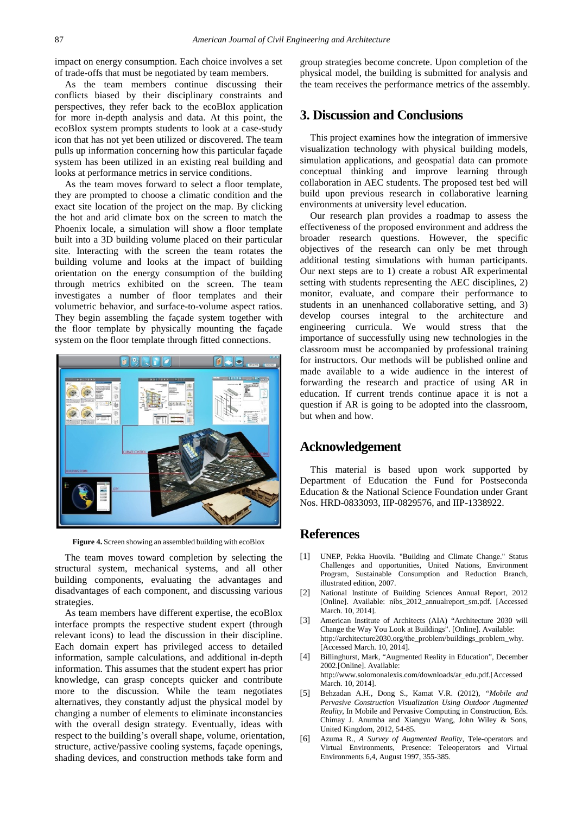impact on energy consumption. Each choice involves a set of trade-offs that must be negotiated by team members.

As the team members continue discussing their conflicts biased by their disciplinary constraints and perspectives, they refer back to the ecoBlox application for more in-depth analysis and data. At this point, the ecoBlox system prompts students to look at a case-study icon that has not yet been utilized or discovered. The team pulls up information concerning how this particular façade system has been utilized in an existing real building and looks at performance metrics in service conditions.

As the team moves forward to select a floor template, they are prompted to choose a climatic condition and the exact site location of the project on the map. By clicking the hot and arid climate box on the screen to match the Phoenix locale, a simulation will show a floor template built into a 3D building volume placed on their particular site. Interacting with the screen the team rotates the building volume and looks at the impact of building orientation on the energy consumption of the building through metrics exhibited on the screen. The team investigates a number of floor templates and their volumetric behavior, and surface-to-volume aspect ratios. They begin assembling the façade system together with the floor template by physically mounting the façade system on the floor template through fitted connections.



**Figure 4.** Screen showing an assembled building with ecoBlox

The team moves toward completion by selecting the structural system, mechanical systems, and all other building components, evaluating the advantages and disadvantages of each component, and discussing various strategies.

As team members have different expertise, the ecoBlox interface prompts the respective student expert (through relevant icons) to lead the discussion in their discipline. Each domain expert has privileged access to detailed information, sample calculations, and additional in-depth information. This assumes that the student expert has prior knowledge, can grasp concepts quicker and contribute more to the discussion. While the team negotiates alternatives, they constantly adjust the physical model by changing a number of elements to eliminate inconstancies with the overall design strategy. Eventually, ideas with respect to the building's overall shape, volume, orientation, structure, active/passive cooling systems, façade openings, shading devices, and construction methods take form and

group strategies become concrete. Upon completion of the physical model, the building is submitted for analysis and the team receives the performance metrics of the assembly.

## **3. Discussion and Conclusions**

This project examines how the integration of immersive visualization technology with physical building models, simulation applications, and geospatial data can promote conceptual thinking and improve learning through collaboration in AEC students. The proposed test bed will build upon previous research in collaborative learning environments at university level education.

Our research plan provides a roadmap to assess the effectiveness of the proposed environment and address the broader research questions. However, the specific objectives of the research can only be met through additional testing simulations with human participants. Our next steps are to 1) create a robust AR experimental setting with students representing the AEC disciplines, 2) monitor, evaluate, and compare their performance to students in an unenhanced collaborative setting, and 3) develop courses integral to the architecture and engineering curricula. We would stress that the importance of successfully using new technologies in the classroom must be accompanied by professional training for instructors. Our methods will be published online and made available to a wide audience in the interest of forwarding the research and practice of using AR in education. If current trends continue apace it is not a question if AR is going to be adopted into the classroom, but when and how.

#### **Acknowledgement**

This material is based upon work supported by Department of Education the Fund for Postseconda Education & the National Science Foundation under Grant Nos. HRD-0833093, IIP-0829576, and IIP-1338922.

## **References**

- <span id="page-4-0"></span>[1] UNEP, Pekka Huovila. "Building and Climate Change." Status Challenges and opportunities, United Nations, Environment Program, Sustainable Consumption and Reduction Branch, illustrated edition, 2007.
- <span id="page-4-1"></span>[2] National Institute of Building Sciences Annual Report, 2012 [Online]. Available: nibs\_2012\_annualreport\_sm.pdf. [Accessed March. 10, 2014].
- <span id="page-4-2"></span>[3] American Institute of Architects (AIA) "Architecture 2030 will Change the Way You Look at Buildings". [Online]. Available: http://architecture2030.org/the\_problem/buildings\_problem\_why. [Accessed March. 10, 2014].
- <span id="page-4-3"></span>[4] Billinghurst, Mark, "Augmented Reality in Education", December 2002.[Online]. Available: http://www.solomonalexis.com/downloads/ar\_edu.pdf.[Accessed March. 10, 2014].
- <span id="page-4-4"></span>[5] Behzadan A.H., Dong S., Kamat V.R. (2012), *"Mobile and Pervasive Construction Visualization Using Outdoor Augmented Reality*, In Mobile and Pervasive Computing in Construction, Eds. Chimay J. Anumba and Xiangyu Wang, John Wiley & Sons, United Kingdom, 2012, 54-85.
- <span id="page-4-5"></span>[6] Azuma R., *A Survey of Augmented Reality*, Tele-operators and Virtual Environments, Presence: Teleoperators and Virtual Environments 6,4, August 1997, 355-385.